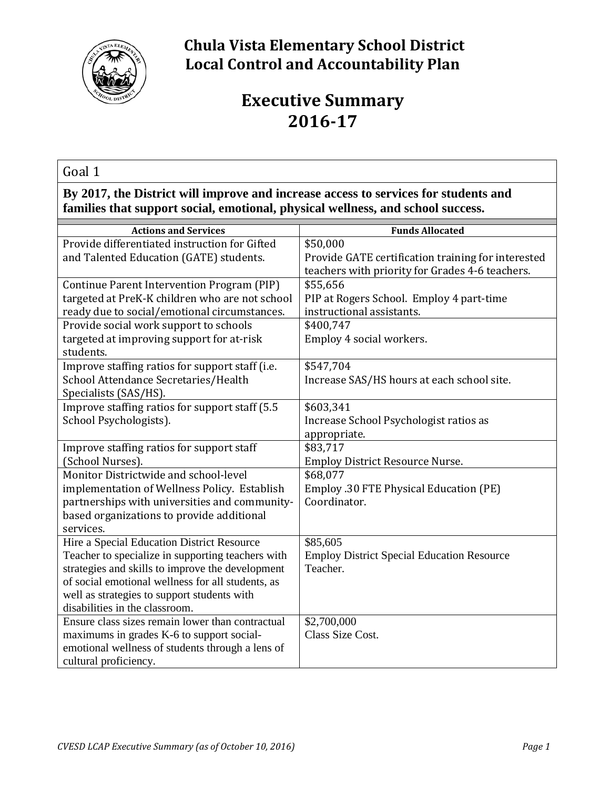

## **Chula Vista Elementary School District Local Control and Accountability Plan**

# **Executive Summary 2016-17**

Goal 1

**By 2017, the District will improve and increase access to services for students and families that support social, emotional, physical wellness, and school success.**

| <b>Actions and Services</b>                       | <b>Funds Allocated</b>                                                                                |
|---------------------------------------------------|-------------------------------------------------------------------------------------------------------|
| Provide differentiated instruction for Gifted     | \$50,000                                                                                              |
| and Talented Education (GATE) students.           | Provide GATE certification training for interested<br>teachers with priority for Grades 4-6 teachers. |
| Continue Parent Intervention Program (PIP)        | \$55,656                                                                                              |
| targeted at PreK-K children who are not school    | PIP at Rogers School. Employ 4 part-time                                                              |
| ready due to social/emotional circumstances.      | instructional assistants.                                                                             |
| Provide social work support to schools            | \$400,747                                                                                             |
| targeted at improving support for at-risk         | Employ 4 social workers.                                                                              |
| students.                                         |                                                                                                       |
| Improve staffing ratios for support staff (i.e.   | \$547,704                                                                                             |
| School Attendance Secretaries/Health              | Increase SAS/HS hours at each school site.                                                            |
| Specialists (SAS/HS).                             |                                                                                                       |
| Improve staffing ratios for support staff (5.5    | \$603,341                                                                                             |
| School Psychologists).                            | Increase School Psychologist ratios as                                                                |
|                                                   | appropriate.                                                                                          |
| Improve staffing ratios for support staff         | \$83,717                                                                                              |
| (School Nurses).                                  | <b>Employ District Resource Nurse.</b>                                                                |
| Monitor Districtwide and school-level             | \$68,077                                                                                              |
| implementation of Wellness Policy. Establish      | Employ .30 FTE Physical Education (PE)                                                                |
| partnerships with universities and community-     | Coordinator.                                                                                          |
| based organizations to provide additional         |                                                                                                       |
| services.                                         |                                                                                                       |
| Hire a Special Education District Resource        | \$85,605                                                                                              |
| Teacher to specialize in supporting teachers with | <b>Employ District Special Education Resource</b>                                                     |
| strategies and skills to improve the development  | Teacher.                                                                                              |
| of social emotional wellness for all students, as |                                                                                                       |
| well as strategies to support students with       |                                                                                                       |
| disabilities in the classroom.                    |                                                                                                       |
| Ensure class sizes remain lower than contractual  | \$2,700,000                                                                                           |
| maximums in grades K-6 to support social-         | Class Size Cost.                                                                                      |
| emotional wellness of students through a lens of  |                                                                                                       |
| cultural proficiency.                             |                                                                                                       |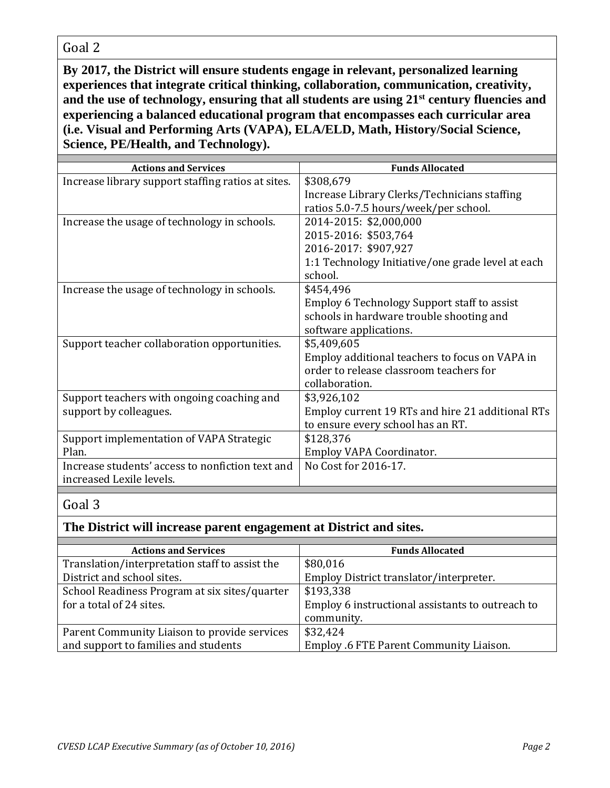### Goal 2

**By 2017, the District will ensure students engage in relevant, personalized learning experiences that integrate critical thinking, collaboration, communication, creativity, and the use of technology, ensuring that all students are using 21st century fluencies and experiencing a balanced educational program that encompasses each curricular area (i.e. Visual and Performing Arts (VAPA), ELA/ELD, Math, History/Social Science, Science, PE/Health, and Technology).**

| <b>Funds Allocated</b>                            |
|---------------------------------------------------|
| \$308,679                                         |
| Increase Library Clerks/Technicians staffing      |
| ratios 5.0-7.5 hours/week/per school.             |
| 2014-2015: \$2,000,000                            |
| 2015-2016: \$503,764                              |
| 2016-2017: \$907,927                              |
| 1:1 Technology Initiative/one grade level at each |
| school.                                           |
| \$454,496                                         |
| Employ 6 Technology Support staff to assist       |
| schools in hardware trouble shooting and          |
| software applications.                            |
| \$5,409,605                                       |
| Employ additional teachers to focus on VAPA in    |
| order to release classroom teachers for           |
| collaboration.                                    |
| \$3,926,102                                       |
| Employ current 19 RTs and hire 21 additional RTs  |
| to ensure every school has an RT.                 |
| \$128,376                                         |
| Employ VAPA Coordinator.                          |
| No Cost for 2016-17.                              |
|                                                   |
|                                                   |

#### Goal 3

#### **The District will increase parent engagement at District and sites.**

| <b>Actions and Services</b>                    | <b>Funds Allocated</b>                           |
|------------------------------------------------|--------------------------------------------------|
| Translation/interpretation staff to assist the | \$80,016                                         |
| District and school sites.                     | Employ District translator/interpreter.          |
| School Readiness Program at six sites/quarter  | \$193,338                                        |
| for a total of 24 sites.                       | Employ 6 instructional assistants to outreach to |
|                                                | community.                                       |
| Parent Community Liaison to provide services   | \$32,424                                         |
| and support to families and students           | Employ .6 FTE Parent Community Liaison.          |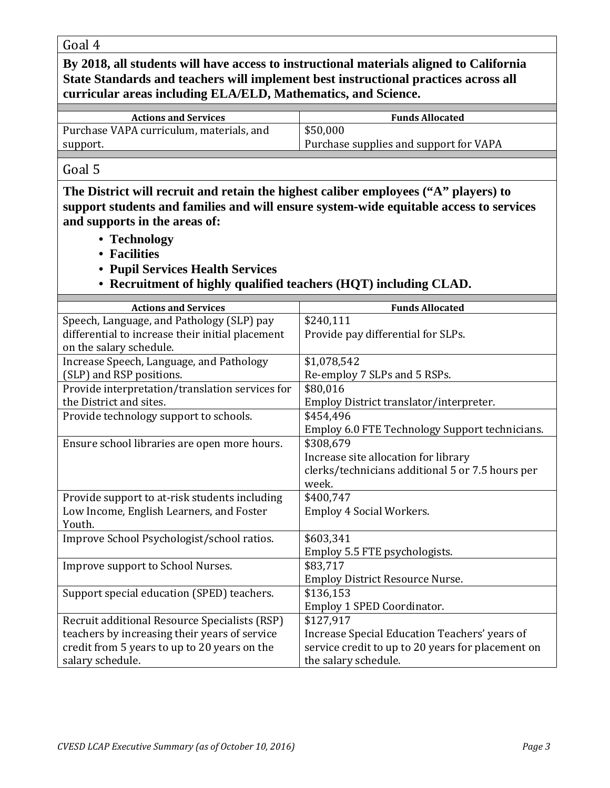Goal 4

**By 2018, all students will have access to instructional materials aligned to California State Standards and teachers will implement best instructional practices across all curricular areas including ELA/ELD, Mathematics, and Science.**

| <b>Actions and Services</b>              | <b>Funds Allocated</b>                 |
|------------------------------------------|----------------------------------------|
| Purchase VAPA curriculum, materials, and | \$50,000                               |
| support.                                 | Purchase supplies and support for VAPA |
|                                          |                                        |

#### Goal 5

**The District will recruit and retain the highest caliber employees ("A" players) to support students and families and will ensure system-wide equitable access to services and supports in the areas of:**

- **Technology**
- **Facilities**
- **Pupil Services Health Services**
- **Recruitment of highly qualified teachers (HQT) including CLAD.**

| <b>Actions and Services</b>                      | <b>Funds Allocated</b>                            |
|--------------------------------------------------|---------------------------------------------------|
| Speech, Language, and Pathology (SLP) pay        | \$240,111                                         |
| differential to increase their initial placement | Provide pay differential for SLPs.                |
| on the salary schedule.                          |                                                   |
| Increase Speech, Language, and Pathology         | \$1,078,542                                       |
| (SLP) and RSP positions.                         | Re-employ 7 SLPs and 5 RSPs.                      |
| Provide interpretation/translation services for  | \$80,016                                          |
| the District and sites.                          | Employ District translator/interpreter.           |
| Provide technology support to schools.           | \$454,496                                         |
|                                                  | Employ 6.0 FTE Technology Support technicians.    |
| Ensure school libraries are open more hours.     | \$308,679                                         |
|                                                  | Increase site allocation for library              |
|                                                  | clerks/technicians additional 5 or 7.5 hours per  |
|                                                  | week.                                             |
| Provide support to at-risk students including    | \$400,747                                         |
| Low Income, English Learners, and Foster         | Employ 4 Social Workers.                          |
| Youth.                                           |                                                   |
| Improve School Psychologist/school ratios.       | \$603,341                                         |
|                                                  | Employ 5.5 FTE psychologists.                     |
| Improve support to School Nurses.                | \$83,717                                          |
|                                                  | <b>Employ District Resource Nurse.</b>            |
| Support special education (SPED) teachers.       | \$136,153                                         |
|                                                  | Employ 1 SPED Coordinator.                        |
| Recruit additional Resource Specialists (RSP)    | \$127,917                                         |
| teachers by increasing their years of service    | Increase Special Education Teachers' years of     |
| credit from 5 years to up to 20 years on the     | service credit to up to 20 years for placement on |
| salary schedule.                                 | the salary schedule.                              |